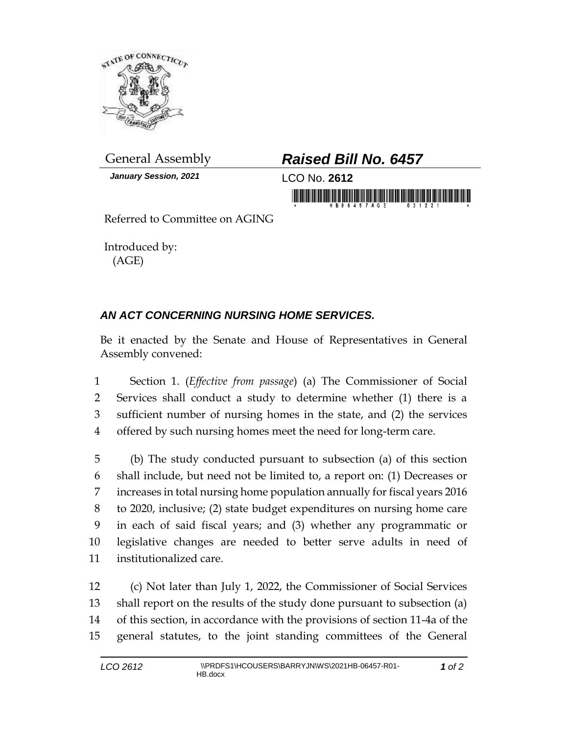

*January Session, 2021* LCO No. **2612**

## General Assembly *Raised Bill No. 6457*

in morning fishing his his set of the second second second second second second second second second second second second second second second second second second second second second second second second second second se

Referred to Committee on AGING

Introduced by: (AGE)

## *AN ACT CONCERNING NURSING HOME SERVICES.*

Be it enacted by the Senate and House of Representatives in General Assembly convened:

 Section 1. (*Effective from passage*) (a) The Commissioner of Social Services shall conduct a study to determine whether (1) there is a sufficient number of nursing homes in the state, and (2) the services offered by such nursing homes meet the need for long-term care.

 (b) The study conducted pursuant to subsection (a) of this section shall include, but need not be limited to, a report on: (1) Decreases or increases in total nursing home population annually for fiscal years 2016 to 2020, inclusive; (2) state budget expenditures on nursing home care in each of said fiscal years; and (3) whether any programmatic or legislative changes are needed to better serve adults in need of institutionalized care.

 (c) Not later than July 1, 2022, the Commissioner of Social Services shall report on the results of the study done pursuant to subsection (a) of this section, in accordance with the provisions of section 11-4a of the general statutes, to the joint standing committees of the General